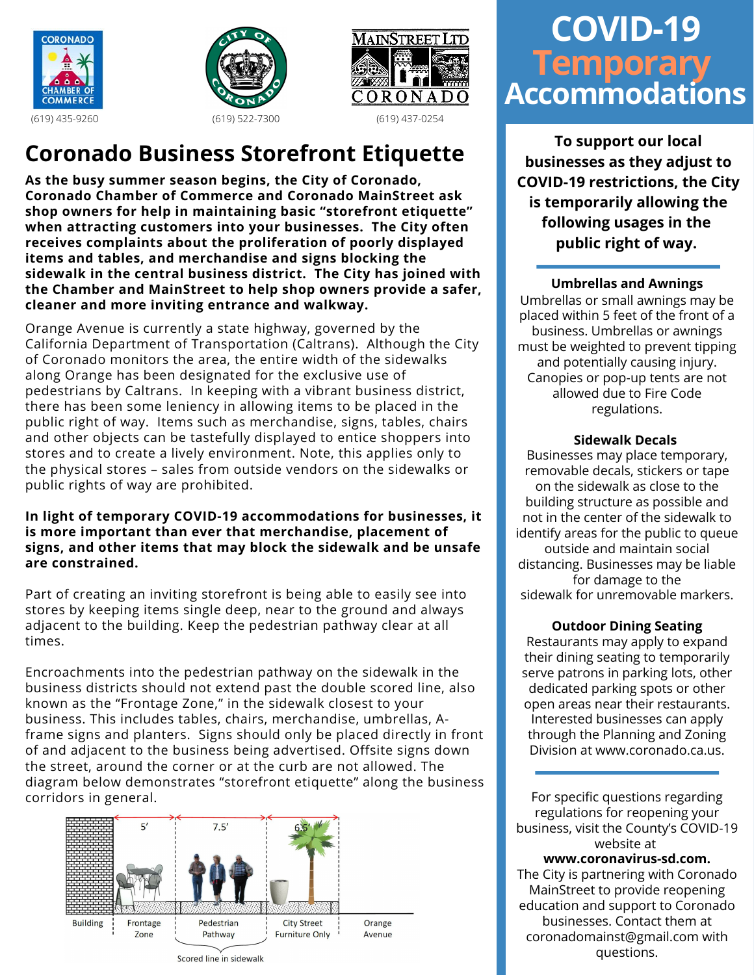





# (619) 435-9260 (619) 522-7300 (619) 437-0254

### **Coronado Business Storefront Etiquette**

**As the busy summer season begins, the City of Coronado, Coronado Chamber of Commerce and Coronado MainStreet ask shop owners for help in maintaining basic "storefront etiquette" when attracting customers into your businesses. The City often receives complaints about the proliferation of poorly displayed items and tables, and merchandise and signs blocking the sidewalk in the central business district. The City has joined with the Chamber and MainStreet to help shop owners provide a safer, cleaner and more inviting entrance and walkway.**

Orange Avenue is currently a state highway, governed by the California Department of Transportation (Caltrans). Although the City of Coronado monitors the area, the entire width of the sidewalks along Orange has been designated for the exclusive use of pedestrians by Caltrans. In keeping with a vibrant business district, there has been some leniency in allowing items to be placed in the public right of way. Items such as merchandise, signs, tables, chairs and other objects can be tastefully displayed to entice shoppers into stores and to create a lively environment. Note, this applies only to the physical stores – sales from outside vendors on the sidewalks or public rights of way are prohibited.

#### **In light of temporary COVID-19 accommodations for businesses, it is more important than ever that merchandise, placement of signs, and other items that may block the sidewalk and be unsafe are constrained.**

Part of creating an inviting storefront is being able to easily see into stores by keeping items single deep, near to the ground and always adjacent to the building. Keep the pedestrian pathway clear at all times.

Encroachments into the pedestrian pathway on the sidewalk in the business districts should not extend past the double scored line, also known as the "Frontage Zone," in the sidewalk closest to your business. This includes tables, chairs, merchandise, umbrellas, Aframe signs and planters. Signs should only be placed directly in front of and adjacent to the business being advertised. Offsite signs down the street, around the corner or at the curb are not allowed. The diagram below demonstrates "storefront etiquette" along the business corridors in general.



## **COVID-19 Temporary Accommodations**

**To support our local businesses as they adjust to COVID-19 restrictions, the City is temporarily allowing the following usages in the public right of way.**

#### **Umbrellas and Awnings**

Umbrellas or small awnings may be placed within 5 feet of the front of a business. Umbrellas or awnings must be weighted to prevent tipping and potentially causing injury. Canopies or pop-up tents are not allowed due to Fire Code regulations.

#### **Sidewalk Decals**

Businesses may place temporary, removable decals, stickers or tape on the sidewalk as close to the building structure as possible and not in the center of the sidewalk to identify areas for the public to queue outside and maintain social distancing. Businesses may be liable for damage to the sidewalk for unremovable markers.

#### **Outdoor Dining Seating**

Restaurants may apply to expand their dining seating to temporarily serve patrons in parking lots, other dedicated parking spots or other open areas near their restaurants. Interested businesses can apply through the Planning and Zoning Division at www.coronado.ca.us.

For specific questions regarding regulations for reopening your business, visit the County's COVID-19 website at **www.coronavirus-sd.com.** The City is partnering with Coronado MainStreet to provide reopening education and support to Coronado businesses. Contact them at coronadomainst@gmail.com with questions.